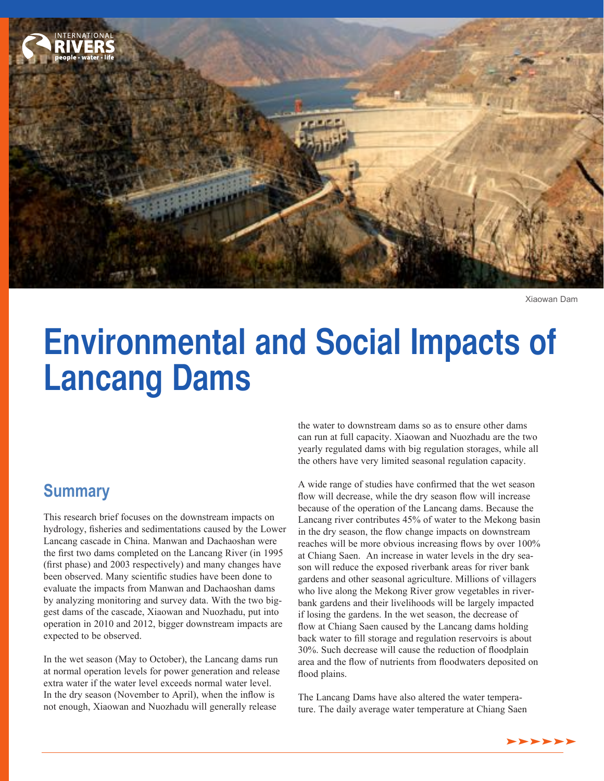

Xiaowan Dam

# **Environmental and Social Impacts of Lancang Dams**

## **Summary**

This research brief focuses on the downstream impacts on hydrology, fsheries and sedimentations caused by the Lower Lancang cascade in China. Manwan and Dachaoshan were the frst two dams completed on the Lancang River (in 1995 (frst phase) and 2003 respectively) and many changes have been observed. Many scientifc studies have been done to evaluate the impacts from Manwan and Dachaoshan dams by analyzing monitoring and survey data. With the two biggest dams of the cascade, Xiaowan and Nuozhadu, put into operation in 2010 and 2012, bigger downstream impacts are expected to be observed.

In the wet season (May to October), the Lancang dams run at normal operation levels for power generation and release extra water if the water level exceeds normal water level. In the dry season (November to April), when the infow is not enough, Xiaowan and Nuozhadu will generally release

the water to downstream dams so as to ensure other dams can run at full capacity. Xiaowan and Nuozhadu are the two yearly regulated dams with big regulation storages, while all the others have very limited seasonal regulation capacity.

A wide range of studies have confrmed that the wet season flow will decrease, while the dry season flow will increase because of the operation of the Lancang dams. Because the Lancang river contributes 45% of water to the Mekong basin in the dry season, the fow change impacts on downstream reaches will be more obvious increasing flows by over  $100\%$ at Chiang Saen. An increase in water levels in the dry season will reduce the exposed riverbank areas for river bank gardens and other seasonal agriculture. Millions of villagers who live along the Mekong River grow vegetables in riverbank gardens and their livelihoods will be largely impacted if losing the gardens. In the wet season, the decrease of fow at Chiang Saen caused by the Lancang dams holding back water to fll storage and regulation reservoirs is about 30%. Such decrease will cause the reduction of foodplain area and the fow of nutrients from foodwaters deposited on flood plains.

The Lancang Dams have also altered the water temperature. The daily average water temperature at Chiang Saen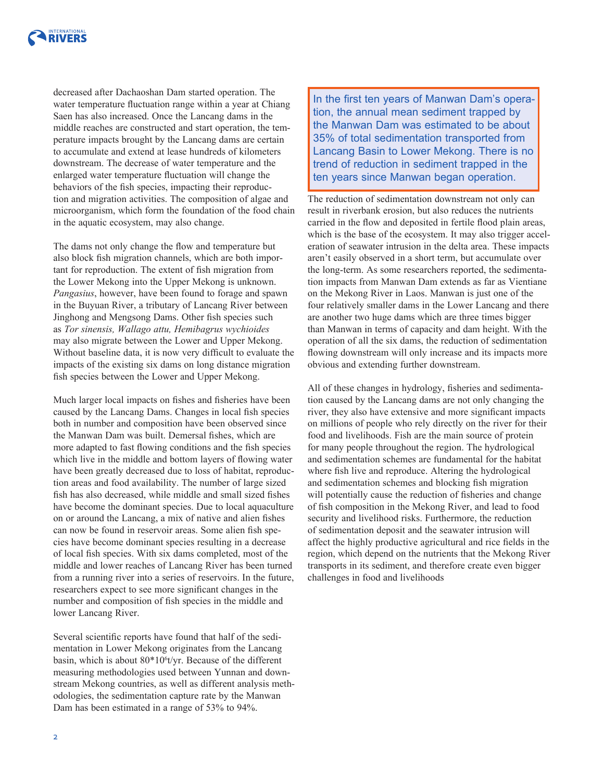

decreased after Dachaoshan Dam started operation. The water temperature fuctuation range within a year at Chiang Saen has also increased. Once the Lancang dams in the middle reaches are constructed and start operation, the temperature impacts brought by the Lancang dams are certain to accumulate and extend at lease hundreds of kilometers downstream. The decrease of water temperature and the enlarged water temperature fuctuation will change the behaviors of the fsh species, impacting their reproduction and migration activities. The composition of algae and microorganism, which form the foundation of the food chain in the aquatic ecosystem, may also change.

The dams not only change the fow and temperature but also block fsh migration channels, which are both important for reproduction. The extent of fish migration from the Lower Mekong into the Upper Mekong is unknown. *Pangasius*, however, have been found to forage and spawn in the Buyuan River, a tributary of Lancang River between Jinghong and Mengsong Dams. Other fsh species such as *Tor sinensis, Wallago attu, Hemibagrus wychioides*  may also migrate between the Lower and Upper Mekong. Without baseline data, it is now very difficult to evaluate the impacts of the existing six dams on long distance migration fish species between the Lower and Upper Mekong.

Much larger local impacts on fshes and fsheries have been caused by the Lancang Dams. Changes in local fsh species both in number and composition have been observed since the Manwan Dam was built. Demersal fshes, which are more adapted to fast fowing conditions and the fsh species which live in the middle and bottom layers of flowing water have been greatly decreased due to loss of habitat, reproduction areas and food availability. The number of large sized fish has also decreased, while middle and small sized fishes have become the dominant species. Due to local aquaculture on or around the Lancang, a mix of native and alien fshes can now be found in reservoir areas. Some alien fsh species have become dominant species resulting in a decrease of local fsh species. With six dams completed, most of the middle and lower reaches of Lancang River has been turned from a running river into a series of reservoirs. In the future, researchers expect to see more signifcant changes in the number and composition of fsh species in the middle and lower Lancang River.

Several scientifc reports have found that half of the sedimentation in Lower Mekong originates from the Lancang basin, which is about 80\*10<sup>6</sup> t/yr. Because of the different measuring methodologies used between Yunnan and downstream Mekong countries, as well as different analysis methodologies, the sedimentation capture rate by the Manwan Dam has been estimated in a range of 53% to 94%.

In the first ten years of Manwan Dam's operation, the annual mean sediment trapped by the Manwan Dam was estimated to be about 35% of total sedimentation transported from Lancang Basin to Lower Mekong. There is no trend of reduction in sediment trapped in the ten years since Manwan began operation.

The reduction of sedimentation downstream not only can result in riverbank erosion, but also reduces the nutrients carried in the flow and deposited in fertile flood plain areas, which is the base of the ecosystem. It may also trigger acceleration of seawater intrusion in the delta area. These impacts aren't easily observed in a short term, but accumulate over the long-term. As some researchers reported, the sedimentation impacts from Manwan Dam extends as far as Vientiane on the Mekong River in Laos. Manwan is just one of the four relatively smaller dams in the Lower Lancang and there are another two huge dams which are three times bigger than Manwan in terms of capacity and dam height. With the operation of all the six dams, the reduction of sedimentation fowing downstream will only increase and its impacts more obvious and extending further downstream.

All of these changes in hydrology, fsheries and sedimentation caused by the Lancang dams are not only changing the river, they also have extensive and more signifcant impacts on millions of people who rely directly on the river for their food and livelihoods. Fish are the main source of protein for many people throughout the region. The hydrological and sedimentation schemes are fundamental for the habitat where fsh live and reproduce. Altering the hydrological and sedimentation schemes and blocking fsh migration will potentially cause the reduction of fsheries and change of fsh composition in the Mekong River, and lead to food security and livelihood risks. Furthermore, the reduction of sedimentation deposit and the seawater intrusion will affect the highly productive agricultural and rice felds in the region, which depend on the nutrients that the Mekong River transports in its sediment, and therefore create even bigger challenges in food and livelihoods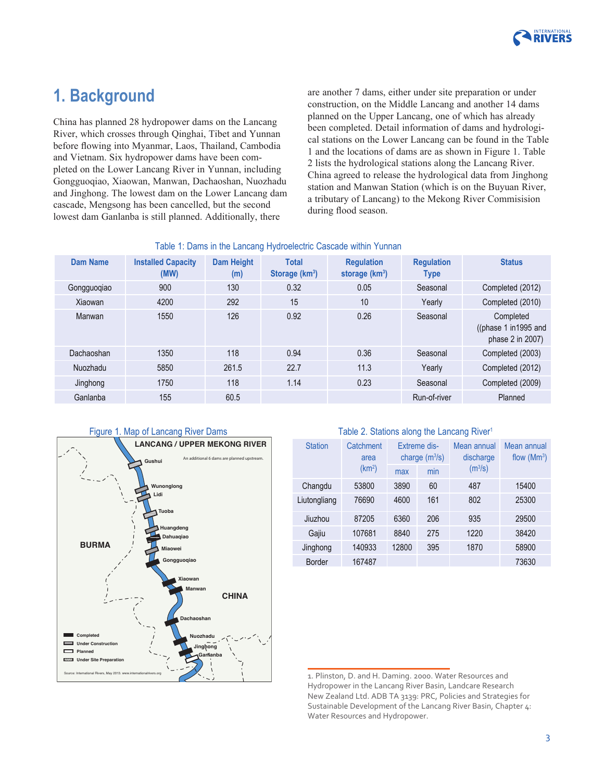

## **1. Background**

China has planned 28 hydropower dams on the Lancang River, which crosses through Qinghai, Tibet and Yunnan before fowing into Myanmar, Laos, Thailand, Cambodia and Vietnam. Six hydropower dams have been completed on the Lower Lancang River in Yunnan, including Gongguoqiao, Xiaowan, Manwan, Dachaoshan, Nuozhadu and Jinghong. The lowest dam on the Lower Lancang dam cascade, Mengsong has been cancelled, but the second lowest dam Ganlanba is still planned. Additionally, there

are another 7 dams, either under site preparation or under construction, on the Middle Lancang and another 14 dams planned on the Upper Lancang, one of which has already been completed. Detail information of dams and hydrological stations on the Lower Lancang can be found in the Table 1 and the locations of dams are as shown in Figure 1. Table 2 lists the hydrological stations along the Lancang River. China agreed to release the hydrological data from Jinghong station and Manwan Station (which is on the Buyuan River, a tributary of Lancang) to the Mekong River Commisision during flood season.

| rable 1. Danis in the Lancary rivuluelectic Cascade Within Tunnan |                                   |                          |                                            |                                       |                                  |                                                        |  |
|-------------------------------------------------------------------|-----------------------------------|--------------------------|--------------------------------------------|---------------------------------------|----------------------------------|--------------------------------------------------------|--|
| Dam Name                                                          | <b>Installed Capacity</b><br>(MW) | <b>Dam Height</b><br>(m) | <b>Total</b><br>Storage (km <sup>3</sup> ) | <b>Regulation</b><br>storage $(km^3)$ | <b>Regulation</b><br><b>Type</b> | <b>Status</b>                                          |  |
| Gongguoqiao                                                       | 900                               | 130                      | 0.32                                       | 0.05                                  | Seasonal                         | Completed (2012)                                       |  |
| Xiaowan                                                           | 4200                              | 292                      | 15                                         | 10                                    | Yearly                           | Completed (2010)                                       |  |
| Manwan                                                            | 1550                              | 126                      | 0.92                                       | 0.26                                  | Seasonal                         | Completed<br>((phase 1 in 1995 and<br>phase 2 in 2007) |  |
| Dachaoshan                                                        | 1350                              | 118                      | 0.94                                       | 0.36                                  | Seasonal                         | Completed (2003)                                       |  |
| Nuozhadu                                                          | 5850                              | 261.5                    | 22.7                                       | 11.3                                  | Yearly                           | Completed (2012)                                       |  |
| Jinghong                                                          | 1750                              | 118                      | 1.14                                       | 0.23                                  | Seasonal                         | Completed (2009)                                       |  |
| Ganlanba                                                          | 155                               | 60.5                     |                                            |                                       | Run-of-river                     | Planned                                                |  |

### Table 1: Dams in the Lancang Hydroelectric Cascade within Yunnan



#### Table 2. Stations along the Lancang River<sup>1</sup>

| <b>Station</b> | Catchment<br>area<br>(km <sup>2</sup> ) | <b>Extreme dis-</b><br>charge $(m^3/s)$ |     | Mean annual<br>discharge<br>(m <sup>3</sup> /s) | Mean annual<br>flow $(Mm3)$ |
|----------------|-----------------------------------------|-----------------------------------------|-----|-------------------------------------------------|-----------------------------|
|                |                                         | max                                     | min |                                                 |                             |
| Changdu        | 53800                                   | 3890                                    | 60  | 487                                             | 15400                       |
| Liutongliang   | 76690                                   | 4600                                    | 161 | 802                                             | 25300                       |
| Jiuzhou        | 87205                                   | 6360                                    | 206 | 935                                             | 29500                       |
| Gajiu          | 107681                                  | 8840                                    | 275 | 1220                                            | 38420                       |
| Jinghong       | 140933                                  | 12800                                   | 395 | 1870                                            | 58900                       |
| Border         | 167487                                  |                                         |     |                                                 | 73630                       |

<sup>1.</sup> Plinston, D. and H. Daming. 2000. Water Resources and Hydropower in the Lancang River Basin, Landcare Research New Zealand Ltd. ADB TA 3139: PRC, Policies and Strategies for Sustainable Development of the Lancang River Basin, Chapter 4: Water Resources and Hydropower.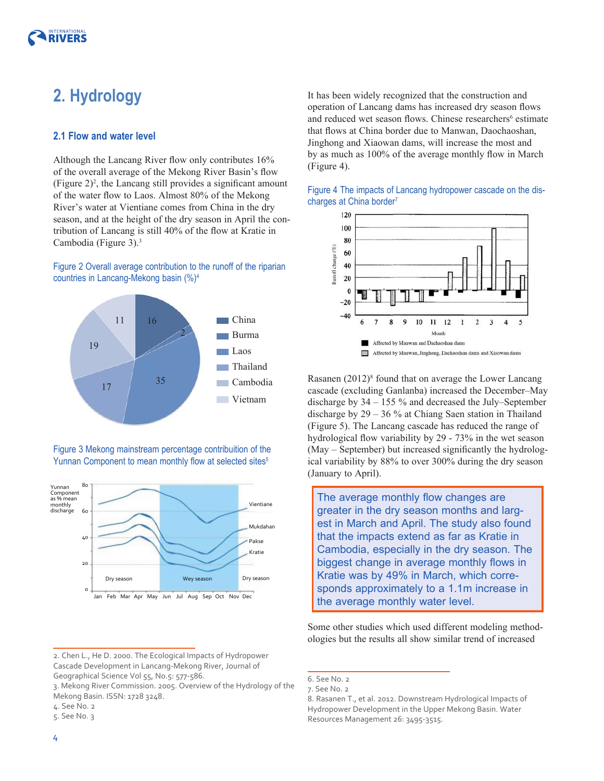# **2. Hydrology**

#### **2.1 Flow and water level**

Although the Lancang River flow only contributes  $16\%$ of the overall average of the Mekong River Basin's fow (Figure  $2)^2$ , the Lancang still provides a significant amount of the water fow to Laos. Almost 80% of the Mekong River's water at Vientiane comes from China in the dry season, and at the height of the dry season in April the contribution of Lancang is still 40% of the fow at Kratie in Cambodia (Figure 3).<sup>3</sup>

#### Figure 2 Overall average contribution to the runoff of the riparian countries in Lancang-Mekong basin (%)4



Figure 3 Mekong mainstream percentage contribuition of the Yunnan Component to mean monthly flow at selected sites<sup>5</sup>



It has been widely recognized that the construction and operation of Lancang dams has increased dry season fows and reduced wet season flows. Chinese researchers<sup>6</sup> estimate that fows at China border due to Manwan, Daochaoshan, Jinghong and Xiaowan dams, will increase the most and by as much as 100% of the average monthly fow in March (Figure 4).





Rasanen (2012)<sup>8</sup> found that on average the Lower Lancang cascade (excluding Ganlanba) increased the December–May discharge by 34 – 155 % and decreased the July–September discharge by 29 – 36 % at Chiang Saen station in Thailand (Figure 5). The Lancang cascade has reduced the range of hydrological fow variability by 29 - 73% in the wet season (May – September) but increased signifcantly the hydrological variability by 88% to over 300% during the dry season (January to April).

The average monthly flow changes are greater in the dry season months and largest in March and April. The study also found that the impacts extend as far as Kratie in Cambodia, especially in the dry season. The biggest change in average monthly flows in Kratie was by 49% in March, which corresponds approximately to a 1.1m increase in the average monthly water level.

Some other studies which used different modeling methodologies but the results all show similar trend of increased

<sup>2.</sup> Chen L., He D. 2000. The Ecological Impacts of Hydropower Cascade Development in Lancang-Mekong River, Journal of Geographical Science Vol 55, No.5: 577-586.

<sup>3.</sup> Mekong River Commission. 2005. Overview of the Hydrology of the Mekong Basin. ISSN: 1728 3248.

<sup>4.</sup> See No. 2

<sup>5.</sup> See No. 3

<sup>6.</sup> See No. 2

<sup>7.</sup> See No. 2

<sup>8.</sup> Rasanen T., et al. 2012. Downstream Hydrological Impacts of Hydropower Development in the Upper Mekong Basin. Water Resources Management 26: 3495-3515.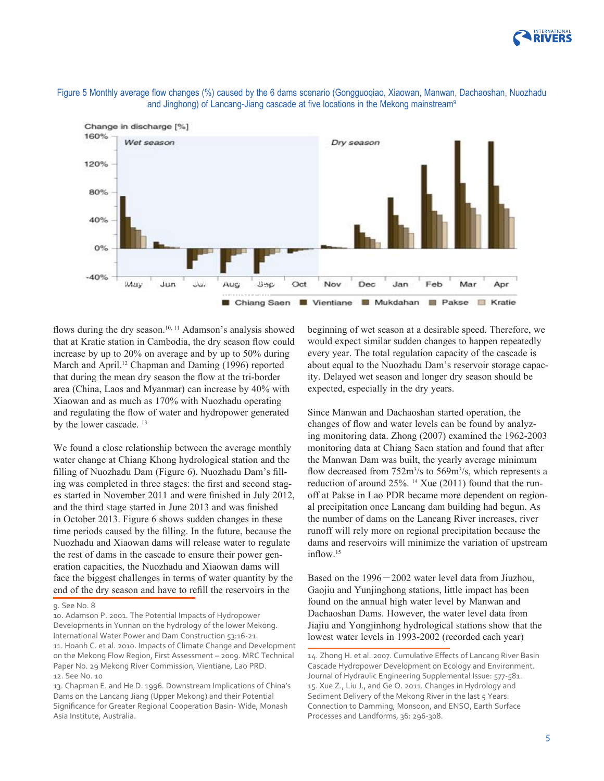





flows during the dry season.<sup>10, 11</sup> Adamson's analysis showed that at Kratie station in Cambodia, the dry season fow could increase by up to 20% on average and by up to 50% during March and April.<sup>12</sup> Chapman and Daming (1996) reported that during the mean dry season the fow at the tri-border area (China, Laos and Myanmar) can increase by 40% with Xiaowan and as much as 170% with Nuozhadu operating and regulating the fow of water and hydropower generated by the lower cascade.<sup>13</sup>

We found a close relationship between the average monthly water change at Chiang Khong hydrological station and the flling of Nuozhadu Dam (Figure 6). Nuozhadu Dam's flling was completed in three stages: the frst and second stages started in November 2011 and were fnished in July 2012, and the third stage started in June 2013 and was fnished in October 2013. Figure 6 shows sudden changes in these time periods caused by the flling. In the future, because the Nuozhadu and Xiaowan dams will release water to regulate the rest of dams in the cascade to ensure their power generation capacities, the Nuozhadu and Xiaowan dams will face the biggest challenges in terms of water quantity by the end of the dry season and have to refll the reservoirs in the

beginning of wet season at a desirable speed. Therefore, we would expect similar sudden changes to happen repeatedly every year. The total regulation capacity of the cascade is about equal to the Nuozhadu Dam's reservoir storage capacity. Delayed wet season and longer dry season should be expected, especially in the dry years.

Since Manwan and Dachaoshan started operation, the changes of flow and water levels can be found by analyzing monitoring data. Zhong (2007) examined the 1962-2003 monitoring data at Chiang Saen station and found that after the Manwan Dam was built, the yearly average minimum flow decreased from 752m<sup>3</sup>/s to 569m<sup>3</sup>/s, which represents a reduction of around 25%. <sup>14</sup> Xue (2011) found that the runoff at Pakse in Lao PDR became more dependent on regional precipitation once Lancang dam building had begun. As the number of dams on the Lancang River increases, river runoff will rely more on regional precipitation because the dams and reservoirs will minimize the variation of upstream inflow.<sup>15</sup>

Based on the 1996-2002 water level data from Jiuzhou, Gaojiu and Yunjinghong stations, little impact has been found on the annual high water level by Manwan and Dachaoshan Dams. However, the water level data from Jiajiu and Yongjinhong hydrological stations show that the lowest water levels in 1993-2002 (recorded each year)

<sup>9.</sup> See No. 8

<sup>10.</sup> Adamson P. 2001. The Potential Impacts of Hydropower Developments in Yunnan on the hydrology of the lower Mekong. International Water Power and Dam Construction 53:16-21. 11. Hoanh C. et al. 2010. Impacts of Climate Change and Development on the Mekong Flow Region, First Assessment – 2009. MRC Technical Paper No. 29 Mekong River Commission, Vientiane, Lao PRD. 12. See No. 10

<sup>13.</sup> Chapman E. and He D. 1996. Downstream Implications of China's Dams on the Lancang Jiang (Upper Mekong) and their Potential Signifcance for Greater Regional Cooperation Basin- Wide, Monash Asia Institute, Australia.

<sup>14.</sup> Zhong H. et al. 2007. Cumulative Efects of Lancang River Basin Cascade Hydropower Development on Ecology and Environment. Journal of Hydraulic Engineering Supplemental Issue: 577-581. 15. Xue Z., Liu J., and Ge Q. 2011. Changes in Hydrology and Sediment Delivery of the Mekong River in the last 5 Years: Connection to Damming, Monsoon, and ENSO, Earth Surface Processes and Landforms, 36: 296-308.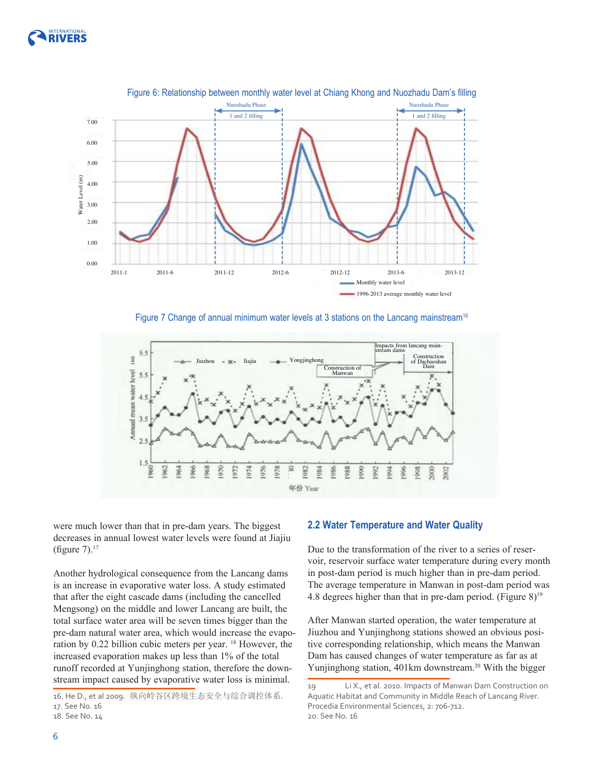





Figure 7 Change of annual minimum water levels at 3 stations on the Lancang mainstream<sup>16</sup>



were much lower than that in pre-dam years. The biggest decreases in annual lowest water levels were found at Jiajiu (figure  $7$ ).<sup>17</sup>

Another hydrological consequence from the Lancang dams is an increase in evaporative water loss. A study estimated that after the eight cascade dams (including the cancelled Mengsong) on the middle and lower Lancang are built, the total surface water area will be seven times bigger than the pre-dam natural water area, which would increase the evaporation by 0.22 billion cubic meters per year. 18 However, the increased evaporation makes up less than 1% of the total runoff recorded at Yunjinghong station, therefore the downstream impact caused by evaporative water loss is minimal.

#### **2.2 Water Temperature and Water Quality**

Due to the transformation of the river to a series of reservoir, reservoir surface water temperature during every month in post-dam period is much higher than in pre-dam period. The average temperature in Manwan in post-dam period was 4.8 degrees higher than that in pre-dam period. (Figure  $8$ )<sup>19</sup>

After Manwan started operation, the water temperature at Jiuzhou and Yunjinghong stations showed an obvious positive corresponding relationship, which means the Manwan Dam has caused changes of water temperature as far as at Yunjinghong station, 401km downstream.<sup>20</sup> With the bigger

<sup>16.</sup> He D., et al 2009. 纵向岭谷区跨境生态安全与综合调控体系. 17. See No. 16

<sup>18.</sup> See No. 14

<sup>19</sup> Li X., et al. 2010. Impacts of Manwan Dam Construction on Aquatic Habitat and Community in Middle Reach of Lancang River. Procedia Environmental Sciences, 2: 706-712. 20. See No. 16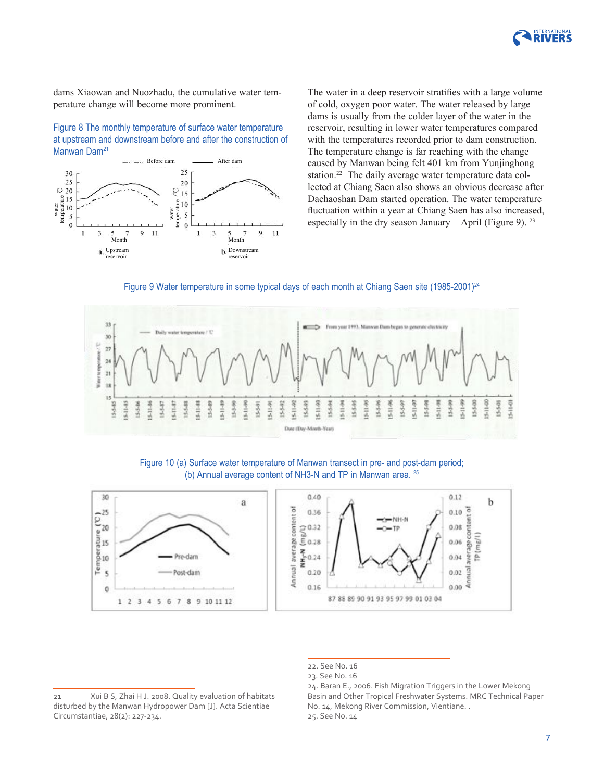

dams Xiaowan and Nuozhadu, the cumulative water temperature change will become more prominent.

Figure 8 The monthly temperature of surface water temperature at upstream and downstream before and after the construction of Manwan Dam<sup>21</sup>



The water in a deep reservoir stratifes with a large volume of cold, oxygen poor water. The water released by large dams is usually from the colder layer of the water in the reservoir, resulting in lower water temperatures compared with the temperatures recorded prior to dam construction. The temperature change is far reaching with the change caused by Manwan being felt 401 km from Yunjinghong station.<sup>22</sup> The daily average water temperature data collected at Chiang Saen also shows an obvious decrease after Dachaoshan Dam started operation. The water temperature fuctuation within a year at Chiang Saen has also increased, especially in the dry season January – April (Figure 9).  $23$ 





Figure 10 (a) Surface water temperature of Manwan transect in pre- and post-dam period; (b) Annual average content of NH3-N and TP in Manwan area. 25



<sup>22.</sup> See No. 16

<sup>23.</sup> See No. 16

<sup>21</sup> Xui B S, Zhai H J. 2008. Quality evaluation of habitats disturbed by the Manwan Hydropower Dam [J]. Acta Scientiae Circumstantiae, 28(2): 227-234.

<sup>24.</sup> Baran E., 2006. Fish Migration Triggers in the Lower Mekong Basin and Other Tropical Freshwater Systems. MRC Technical Paper No. 14, Mekong River Commission, Vientiane. . 25. See No. 14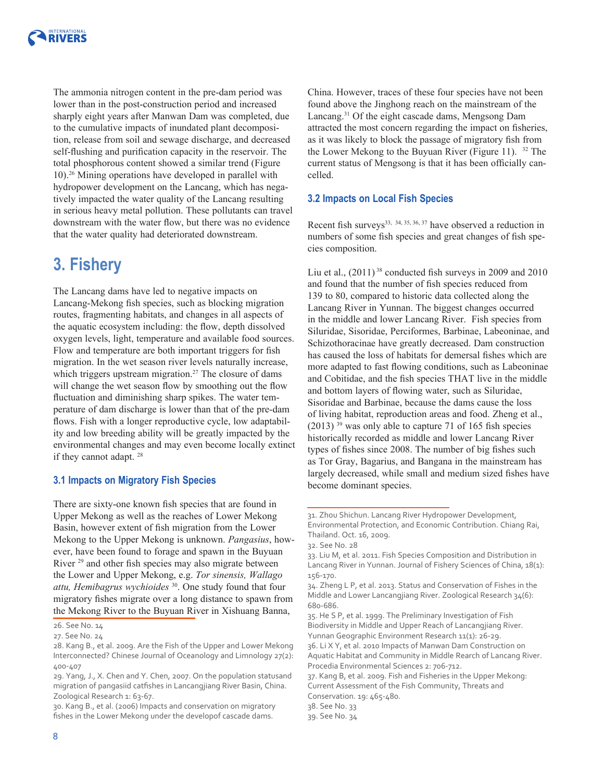

The ammonia nitrogen content in the pre-dam period was lower than in the post-construction period and increased sharply eight years after Manwan Dam was completed, due to the cumulative impacts of inundated plant decomposition, release from soil and sewage discharge, and decreased self-fushing and purifcation capacity in the reservoir. The total phosphorous content showed a similar trend (Figure 10).26 Mining operations have developed in parallel with hydropower development on the Lancang, which has negatively impacted the water quality of the Lancang resulting in serious heavy metal pollution. These pollutants can travel downstream with the water flow, but there was no evidence that the water quality had deteriorated downstream.

## **3. Fishery**

The Lancang dams have led to negative impacts on Lancang-Mekong fsh species, such as blocking migration routes, fragmenting habitats, and changes in all aspects of the aquatic ecosystem including: the fow, depth dissolved oxygen levels, light, temperature and available food sources. Flow and temperature are both important triggers for fsh migration. In the wet season river levels naturally increase, which triggers upstream migration.<sup>27</sup> The closure of dams will change the wet season flow by smoothing out the flow fuctuation and diminishing sharp spikes. The water temperature of dam discharge is lower than that of the pre-dam flows. Fish with a longer reproductive cycle, low adaptability and low breeding ability will be greatly impacted by the environmental changes and may even become locally extinct if they cannot adapt. <sup>28</sup>

#### **3.1 Impacts on Migratory Fish Species**

There are sixty-one known fsh species that are found in Upper Mekong as well as the reaches of Lower Mekong Basin, however extent of fsh migration from the Lower Mekong to the Upper Mekong is unknown. *Pangasius*, however, have been found to forage and spawn in the Buyuan River <sup>29</sup> and other fish species may also migrate between the Lower and Upper Mekong, e.g. *Tor sinensis, Wallago attu, Hemibagrus wychioides* 30. One study found that four migratory fshes migrate over a long distance to spawn from the Mekong River to the Buyuan River in Xishuang Banna,

30. Kang B., et al. (2006) Impacts and conservation on migratory fshes in the Lower Mekong under the developof cascade dams.

China. However, traces of these four species have not been found above the Jinghong reach on the mainstream of the Lancang.31 Of the eight cascade dams, Mengsong Dam attracted the most concern regarding the impact on fsheries, as it was likely to block the passage of migratory fsh from the Lower Mekong to the Buyuan River (Figure 11). 32 The current status of Mengsong is that it has been officially cancelled.

#### **3.2 Impacts on Local Fish Species**

Recent fish surveys<sup>33, 34, 35, 36, 37</sup> have observed a reduction in numbers of some fish species and great changes of fish species composition.

Liu et al.,  $(2011)$ <sup>38</sup> conducted fish surveys in 2009 and 2010 and found that the number of fsh species reduced from 139 to 80, compared to historic data collected along the Lancang River in Yunnan. The biggest changes occurred in the middle and lower Lancang River. Fish species from Siluridae, Sisoridae, Perciformes, Barbinae, Labeoninae, and Schizothoracinae have greatly decreased. Dam construction has caused the loss of habitats for demersal fshes which are more adapted to fast fowing conditions, such as Labeoninae and Cobitidae, and the fsh species THAT live in the middle and bottom layers of fowing water, such as Siluridae, Sisoridae and Barbinae, because the dams cause the loss of living habitat, reproduction areas and food. Zheng et al.,  $(2013)$ <sup>39</sup> was only able to capture 71 of 165 fish species historically recorded as middle and lower Lancang River types of fshes since 2008. The number of big fshes such as Tor Gray, Bagarius, and Bangana in the mainstream has largely decreased, while small and medium sized fshes have become dominant species.

<sup>26.</sup> See No. 14

<sup>27.</sup> See No. 24

<sup>28.</sup> Kang B., et al. 2009. Are the Fish of the Upper and Lower Mekong Interconnected? Chinese Journal of Oceanology and Limnology 27(2): 400-407

<sup>29.</sup> Yang, J., X. Chen and Y. Chen, 2007. On the population statusand migration of pangasiid catfshes in Lancangjiang River Basin, China. Zoological Research 1: 63-67.

<sup>31.</sup> Zhou Shichun. Lancang River Hydropower Development, Environmental Protection, and Economic Contribution. Chiang Rai, Thailand. Oct. 16, 2009.

<sup>32.</sup> See No. 28

<sup>33.</sup> Liu M, et al. 2011. Fish Species Composition and Distribution in Lancang River in Yunnan. Journal of Fishery Sciences of China, 18(1): 156-170.

<sup>34.</sup> Zheng L P, et al. 2013. Status and Conservation of Fishes in the Middle and Lower Lancangjiang River. Zoological Research 34(6): 680-686.

<sup>35.</sup> He S P, et al. 1999. The Preliminary Investigation of Fish Biodiversity in Middle and Upper Reach of Lancangjiang River. Yunnan Geographic Environment Research 11(1): 26-29.

<sup>36.</sup> Li X Y, et al. 2010 Impacts of Manwan Dam Construction on Aquatic Habitat and Community in Middle Rearch of Lancang River. Procedia Environmental Sciences 2: 706-712.

<sup>37.</sup> Kang B, et al. 2009. Fish and Fisheries in the Upper Mekong: Current Assessment of the Fish Community, Threats and Conservation. 19: 465-480.

<sup>38.</sup> See No. 33

<sup>39.</sup> See No. 34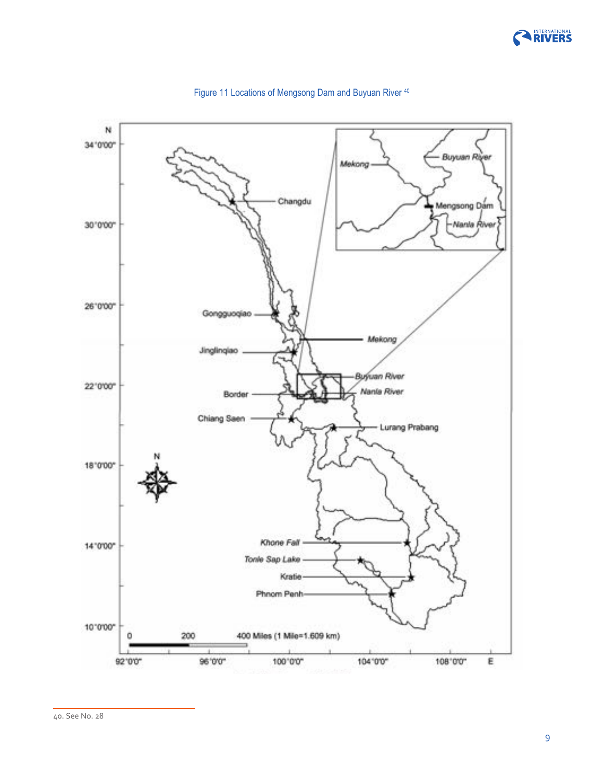



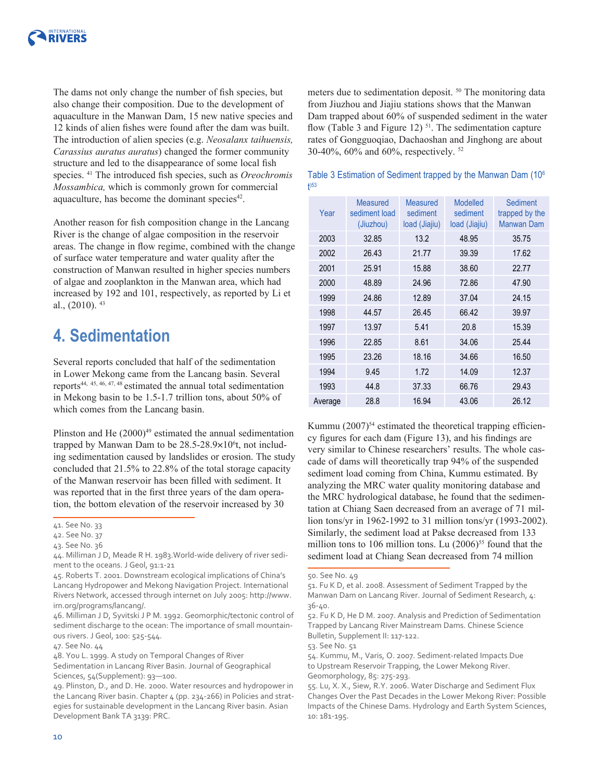

The dams not only change the number of fsh species, but also change their composition. Due to the development of aquaculture in the Manwan Dam, 15 new native species and 12 kinds of alien fshes were found after the dam was built. The introduction of alien species (e.g. *Neosalanx taihuensis, Carassius auratus auratus*) changed the former community structure and led to the disappearance of some local fish species. 41 The introduced fsh species, such as *Oreochromis Mossambica,* which is commonly grown for commercial aquaculture, has become the dominant species<sup>42</sup>.

Another reason for fsh composition change in the Lancang River is the change of algae composition in the reservoir areas. The change in fow regime, combined with the change of surface water temperature and water quality after the construction of Manwan resulted in higher species numbers of algae and zooplankton in the Manwan area, which had increased by 192 and 101, respectively, as reported by Li et al.,  $(2010)$ .  $43$ 

## **4. Sedimentation**

Several reports concluded that half of the sedimentation in Lower Mekong came from the Lancang basin. Several reports44, 45, 46, 47, 48 estimated the annual total sedimentation in Mekong basin to be 1.5-1.7 trillion tons, about 50% of which comes from the Lancang basin.

Plinston and He  $(2000)^{49}$  estimated the annual sedimentation trapped by Manwan Dam to be 28.5-28.9×10<sup>6</sup>t, not including sedimentation caused by landslides or erosion. The study concluded that 21.5% to 22.8% of the total storage capacity of the Manwan reservoir has been flled with sediment. It was reported that in the frst three years of the dam operation, the bottom elevation of the reservoir increased by 30

47. See No. 44

10

meters due to sedimentation deposit. 50 The monitoring data from Jiuzhou and Jiajiu stations shows that the Manwan Dam trapped about 60% of suspended sediment in the water flow (Table 3 and Figure 12)  $51$ . The sedimentation capture rates of Gongguoqiao, Dachaoshan and Jinghong are about 30-40%, 60% and 60%, respectively. 52

Table 3 Estimation of Sediment trapped by the Manwan Dam (106

| $+1)53$ |                                               |                                              |                                              |                                                        |  |  |
|---------|-----------------------------------------------|----------------------------------------------|----------------------------------------------|--------------------------------------------------------|--|--|
| Year    | <b>Measured</b><br>sediment load<br>(Jiuzhou) | <b>Measured</b><br>sediment<br>load (Jiajiu) | <b>Modelled</b><br>sediment<br>load (Jiajiu) | <b>Sediment</b><br>trapped by the<br><b>Manwan Dam</b> |  |  |
| 2003    | 32.85                                         | 13.2                                         | 48.95                                        | 35.75                                                  |  |  |
| 2002    | 26.43                                         | 21.77                                        | 39.39                                        | 17.62                                                  |  |  |
| 2001    | 25.91                                         | 15.88                                        | 38.60                                        | 22.77                                                  |  |  |
| 2000    | 48.89                                         | 24.96                                        | 72.86                                        | 47.90                                                  |  |  |
| 1999    | 24.86                                         | 12.89                                        | 37.04                                        | 24.15                                                  |  |  |
| 1998    | 44.57                                         | 26.45                                        | 66.42                                        | 39.97                                                  |  |  |
| 1997    | 13.97                                         | 5.41                                         | 20.8                                         | 15.39                                                  |  |  |
| 1996    | 22.85                                         | 8.61                                         | 34.06                                        | 25.44                                                  |  |  |
| 1995    | 23.26                                         | 18.16                                        | 34.66                                        | 16.50                                                  |  |  |
| 1994    | 9.45                                          | 1.72                                         | 14.09                                        | 12.37                                                  |  |  |
| 1993    | 44.8                                          | 37.33                                        | 66.76                                        | 29.43                                                  |  |  |
| Average | 28.8                                          | 16.94                                        | 43.06                                        | 26.12                                                  |  |  |

Kummu  $(2007)^{54}$  estimated the theoretical trapping efficiency fgures for each dam (Figure 13), and his fndings are very similar to Chinese researchers' results. The whole cascade of dams will theoretically trap 94% of the suspended sediment load coming from China, Kummu estimated. By analyzing the MRC water quality monitoring database and the MRC hydrological database, he found that the sedimentation at Chiang Saen decreased from an average of 71 million tons/yr in 1962-1992 to 31 million tons/yr (1993-2002). Similarly, the sediment load at Pakse decreased from 133 million tons to 106 million tons. Lu  $(2006)^{55}$  found that the sediment load at Chiang Sean decreased from 74 million

50. See No. 49

<sup>41.</sup> See No. 33

<sup>42.</sup> See No. 37

<sup>43.</sup> See No. 36

<sup>44.</sup> Milliman J D, Meade R H. 1983.World-wide delivery of river sediment to the oceans. J Geol, 91:1-21

<sup>45.</sup> Roberts T. 2001. Downstream ecological implications of China's Lancang Hydropower and Mekong Navigation Project. International Rivers Network, accessed through internet on July 2005: http://www. irn.org/programs/lancang/.

<sup>46.</sup> Milliman J D, Syvitski J P M. 1992. Geomorphic/tectonic control of sediment discharge to the ocean: The importance of small mountainous rivers. J Geol, 100: 525-544.

<sup>48.</sup> You L. 1999. A study on Temporal Changes of River Sedimentation in Lancang River Basin. Journal of Geographical

Sciences, 54(Supplement): 93—100.

<sup>49.</sup> Plinston, D., and D. He. 2000. Water resources and hydropower in the Lancang River basin. Chapter 4 (pp. 234-266) in Policies and strategies for sustainable development in the Lancang River basin. Asian Development Bank TA 3139: PRC.

<sup>51.</sup> Fu K D, et al. 2008. Assessment of Sediment Trapped by the Manwan Dam on Lancang River. Journal of Sediment Research, 4: 36-40.

<sup>52.</sup> Fu K D, He D M. 2007. Analysis and Prediction of Sedimentation Trapped by Lancang River Mainstream Dams. Chinese Science Bulletin, Supplement II: 117-122.

<sup>53.</sup> See No. 51

<sup>54.</sup> Kummu, M., Varis, O. 2007. Sediment-related Impacts Due to Upstream Reservoir Trapping, the Lower Mekong River. Geomorphology, 85: 275-293.

<sup>55.</sup> Lu, X. X., Siew, R.Y. 2006. Water Discharge and Sediment Flux Changes Over the Past Decades in the Lower Mekong River: Possible Impacts of the Chinese Dams. Hydrology and Earth System Sciences, 10: 181-195.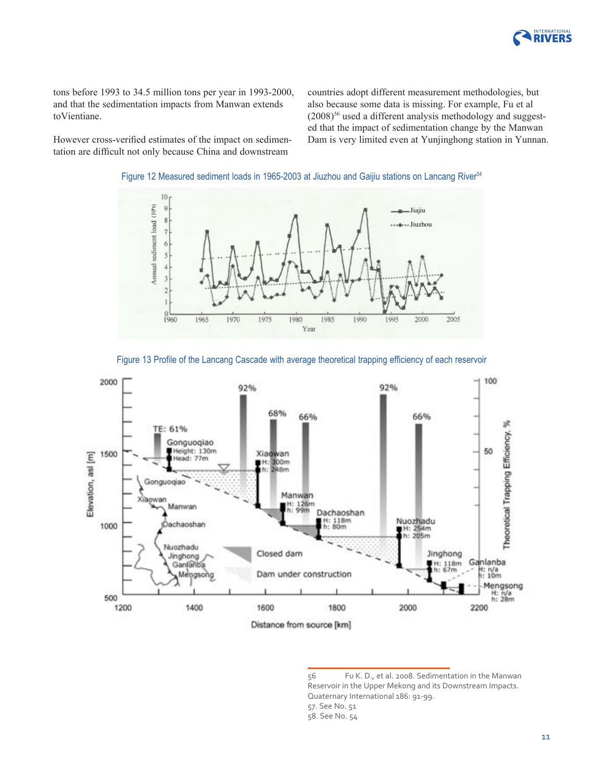

tons before 1993 to 34.5 million tons per year in 1993-2000, and that the sedimentation impacts from Manwan extends toVientiane.

countries adopt different measurement methodologies, but also because some data is missing. For example, Fu et al  $(2008)^{56}$  used a different analysis methodology and suggested that the impact of sedimentation change by the Manwan Dam is very limited even at Yunjinghong station in Yunnan.

However cross-verifed estimates of the impact on sedimentation are diffcult not only because China and downstream









<sup>56</sup> Fu K. D., et al. 2008. Sedimentation in the Manwan Reservoir in the Upper Mekong and its Downstream Impacts. Quaternary International 186: 91-99.

<sup>57.</sup> See No. 51

<sup>58.</sup> See No. 54